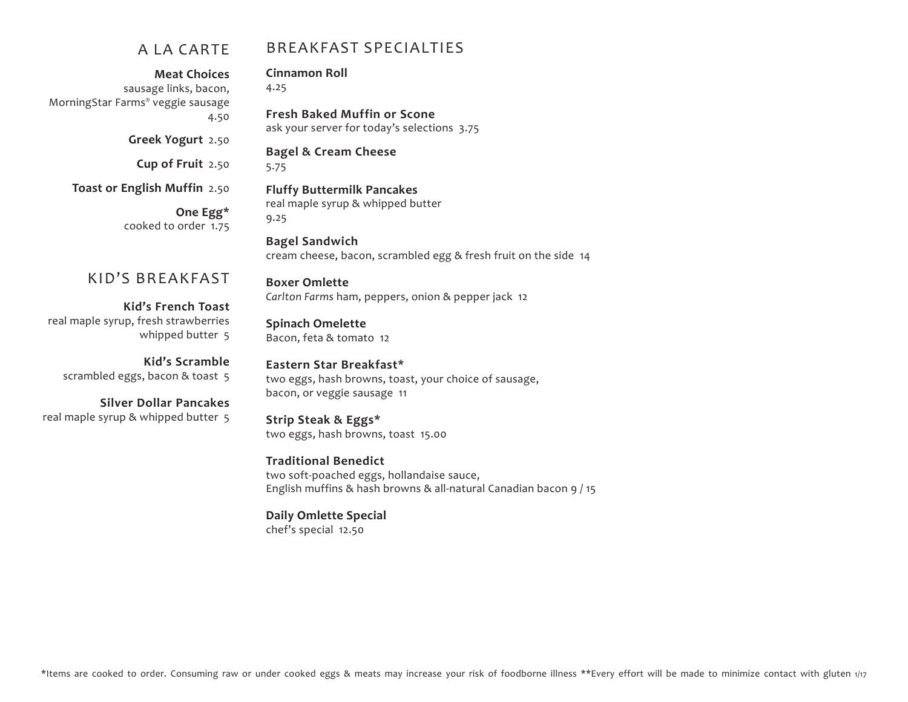#### A LA CARTE

#### BREAKFAST SPECIALTIES

**Fresh Baked Muffin or Scone** 

ask your server for today's selections 3.75

**Meat Choices** sausage links, bacon, MorningStar Farms® veggie sausage 4.50

**Greek Yogurt** 2.50

**Cup of Fruit** 2.50

### **Bagel & Cream Cheese**

**Fluffy Buttermilk Pancakes** real maple syrup & whipped butter

**Cinnamon Roll** 

4.25

5.75

**Toast or English Muffin** 2.50

**One Egg\*** cooked to order 1.75

#### KID'S BREAKFAST

**Kid's French Toast** real maple syrup, fresh strawberries whipped butter 5

**Kid's Scramble** scrambled eggs, bacon & toast 5

**Silver Dollar Pancakes** real maple syrup & whipped butter 5

9.25 **Bagel Sandwich** cream cheese, bacon, scrambled egg & fresh fruit on the side 14 **Boxer Omlette** *Carlton Farms* ham, peppers, onion & pepper jack 12 **Spinach Omelette** Bacon, feta & tomato 12

**Eastern Star Breakfast\*** two eggs, hash browns, toast, your choice of sausage, bacon, or veggie sausage 11

**Strip Steak & Eggs\*** two eggs, hash browns, toast 15.00

**Traditional Benedict** two soft-poached eggs, hollandaise sauce, English muffins & hash browns & all-natural Canadian bacon 9 / 15

**Daily Omlette Special** chef's special 12.50

\*Items are cooked to order. Consuming raw or under cooked eggs & meats may increase your risk of foodborne illness \*\*Every effort will be made to minimize contact with gluten 1/17